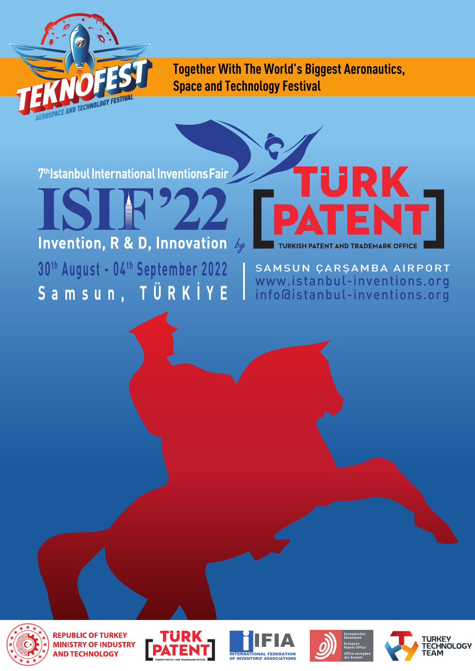

**Together With The World's Biggest Aeronautics, Space and Technology Festival**

7<sup>th</sup>Istanbul International Inventions Fair

# **Invention, R & D, Innovation** by

30<sup>th</sup> August - 04<sup>th</sup> September 2022 **Samsun, TÜRKİYE**

SAMSUN ÇARŞAMBA AIRPORT www.istanbul-inventions.org info@istanbul-inventions.org

TURKISH PATENT AND TRADEMARK OFFICE

RK



**REPUBLIC OF TURKEY MINISTRY OF INDUSTRY AND TECHNOLOGY** 







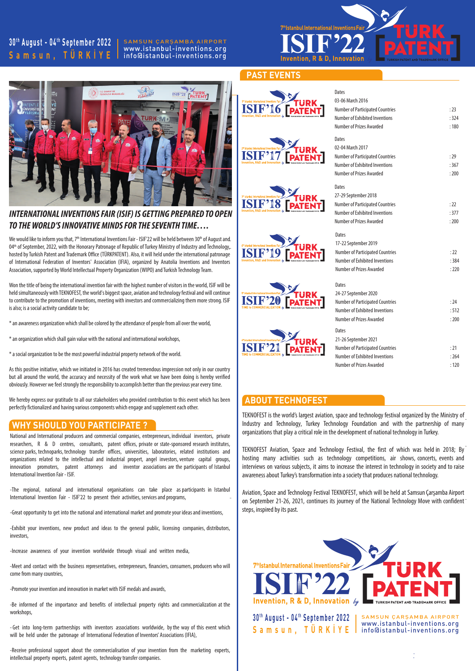## **3 0t h August - 04t h September 2022 Samsun, TÜRKİYE**

SAMSUN ÇARŞAMBA AIRPORT www.istanbul-inventions.org info@istanbul-inventions.org



### **PAST EVENTS**

**ISIF'16** 

**ISIF'** 

ISIF'

**ISIF'19** 

**ISIF'20** 

**ISIF'2** 



## *INTERNATIONAL INVENTIONS FAIR (ISIF) IS GETTING PREPARED TO OPEN TO THE WORLD'S INNOVATIVE MINDS FOR THE SEVENTH TIME….*

We would like to inform you that, 7th International Inventions Fair - ISIF'22 will be held between 30th of August and 04<sup>th</sup> of September, 2022, with the Honorary Patronage of Republic of Turkey Ministry of Industry and Technology<del>,</del> hosted by Turkish Patent and Trademark Office (TÜRKPATENT). Also, it will held under the international patronage of International Federation of Inventors' Association (IFIA), organized by Anatolia Inventions and Inventors Association, supported by World Intellectual Property Organization (WIPO) and Turkish Technology Team.

Won the title of being the international invention fair with the highest number of visitors in the world, ISIF will be held simultaneously with TEKNOFEST, the world's biggest space, aviation and technology festival and will continue to contribute to the promotion of inventions, meeting with investors and commercializing them more strong. ISIF is also; is a social activity candidate to be;

\* an awareness organization which shall be colored by the attendance of people from all over the world,

\* an organization which shall gain value with the national and international workshops,

\* a social organization to be the most powerful industrial property network of the world.

As this positive initiative, which we initiated in 2016 has created tremendous impression not only in our country but all around the world, the accuracy and necessity of the work what we have been doing is hereby verified obviously. However we feel strongly the responsibility to accomplish better than the previous year every time.

We hereby express our gratitude to all our stakeholders who provided contribution to this event which has been perfectly fictionalized and having various components which engage and supplement each other.

## **WHY SHOULD YOU PARTICIPATE ?**

National and International producers and commercial companies, entrepreneurs, individual inventors, private researchers, R & D centres, consultants, patent offices, private or state-sponsored research institutes, science parks, technoparks, technology transfer offices, universities, laboratories, related institutions and organizations related to the intellectual and industrial propert, angel investors, venture capital groups, innovation promoters, patent attorneys and inventor associations are the participants of Istanbul International Invention Fair - ISIF.

- -The regional, national and international organisations can take place as participants in Istanbul International Invention Fair - ISIF'22 to present their activities, services and programs,

-Great opportunity to get into the national and international market and promote your ideas and inventions,

-Exhibit your inventions, new product and ideas to the general public, licensing companies, distributors, investors,

-Increase awareness of your invention worldwide through visual and written media,

-Meet and contact with the business representatives, entrepreneurs, financiers, consumers, producers who will come from many countries,

-Promote your invention and innovation in market with ISIF medals and awards,

-Be informed of the importance and benefits of intellectual property rights and commercialization at the workshops,

- Get into long-term partnerships with inventors associations worldwide, by the way of this event which will be held under the patronage of International Federation of Inventors' Associations (IFIA),

-Receive professional support about the commercialisation of your invention from the marketing experts, intellectual property experts, patent agents, technology transfer companies.

| Dates<br>03-06 March 2016<br><b>Number of Participated Countries</b><br>Number of Exhibited Inventions<br>Number of Prizes Awarded                   | : 23<br>:324<br>:180   |
|------------------------------------------------------------------------------------------------------------------------------------------------------|------------------------|
| Dates<br>02-04 March 2017<br><b>Number of Participated Countries</b><br>Number of Exhibited Inventions<br>Number of Prizes Awarded                   | :29<br>:367<br>: 200   |
| Dates<br>27-29 September 2018<br><b>Number of Participated Countries</b><br>Number of Exhibited Inventions<br>Number of Prizes Awarded               | :22<br>:377<br>: 200   |
| Dates<br>17-22 September 2019<br><b>Number of Participated Countries</b><br>Number of Exhibited Inventions<br>Number of Prizes Awarded               | :22<br>:384<br>:220    |
| Dates<br>24-27 September 2020<br><b>Number of Participated Countries</b><br><b>Number of Exhibited Inventions</b><br><b>Number of Prizes Awarded</b> | : 24<br>: 512<br>: 200 |
| Dates<br>21-26 September 2021<br><b>Number of Participated Countries</b><br><b>Number of Exhibited Inventions</b><br>Number of Prizes Awarded        | : 21<br>:264<br>:120   |

#### **ABOUT TECHNOFEST**

- Industry and Technology, Turkey Technology Foundation and with the partnership of many TEKNOFEST is the world's largest aviation, space and technology festival organized by the Ministry of organizations that play a critical role in the development of national technology in Turkey.

TEKNOFEST Aviation, Space and Technology Festival, the first of which was held in 2018; By<sup>-</sup> hosting many activities such as technology competitions, air shows, concerts, events and interviews on various subjects, it aims to increase the interest in technology in society and to raise awareness about Turkey's transformation into a society that produces national technology.

on September 21-26, 2021, continues its journey of the National Technology Move with confident<sup>-</sup> Aviation, Space and Technology Festival TEKNOFEST, which will be held at Samsun Çarşamba Airport steps, inspired by its past.



. .